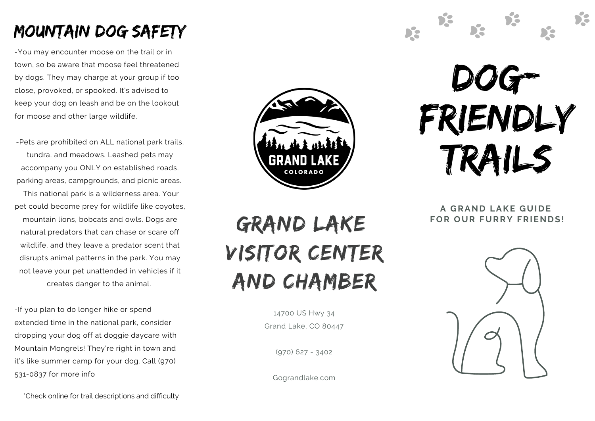# Mountain Dog safety

-You may encounter moose on the trail or in town, so be aware that moose feel threatened by dogs. They may charge at your group if too close, provoked, or spooked. It's advised to keep your dog on leash and be on the lookout for moose and other large wildlife.

-Pets are prohibited on ALL national park trails, tundra, and meadows. Leashed pets may accompany you ONLY on established roads, parking areas, campgrounds, and picnic areas.

This national park is a wilderness area. Your pet could become prey for wildlife like coyotes, mountain lions, bobcats and owls. Dogs are natural predators that can chase or scare off wildlife, and they leave a predator scent that disrupts animal patterns in the park. You may not leave your pet unattended in vehicles if it creates danger to the animal.

-If you plan to do longer hike or spend extended time in the national park, consider dropping your dog off at doggie daycare with Mountain Mongrels! They're right in town and it's like summer camp for your dog. Call (970) 531-0837 for more info



# Dog-Friendly Trails

DS.

D.C.

De

**A GRAND LAKE GUIDE FOR OUR FURRY FRIENDS!**



14700 US Hwy 34 Grand Lake, CO 80447

 $(970)$  627 - 3402

Gograndlake.com



\*Check online for trail descriptions and difficulty